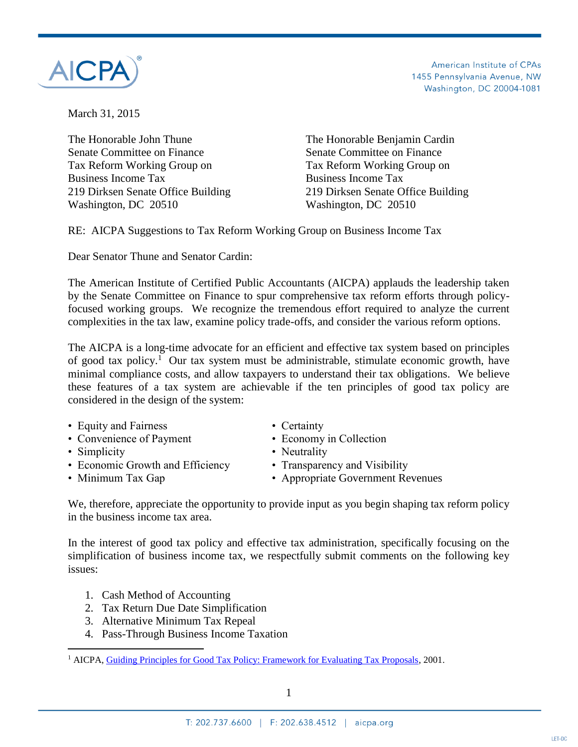

American Institute of CPAs 1455 Pennsylvania Avenue, NW Washington, DC 20004-1081

March 31, 2015

The Honorable John Thune The Honorable Benjamin Cardin Senate Committee on Finance Senate Committee on Finance Tax Reform Working Group on Tax Reform Working Group on Business Income Tax Business Income Tax 219 Dirksen Senate Office Building 219 Dirksen Senate Office Building Washington, DC 20510 Washington, DC 20510

RE: AICPA Suggestions to Tax Reform Working Group on Business Income Tax

Dear Senator Thune and Senator Cardin:

The American Institute of Certified Public Accountants (AICPA) applauds the leadership taken by the Senate Committee on Finance to spur comprehensive tax reform efforts through policyfocused working groups. We recognize the tremendous effort required to analyze the current complexities in the tax law, examine policy trade-offs, and consider the various reform options.

The AICPA is a long-time advocate for an efficient and effective tax system based on principles of good tax policy.<sup>1</sup> Our tax system must be administrable, stimulate economic growth, have minimal compliance costs, and allow taxpayers to understand their tax obligations. We believe these features of a tax system are achievable if the ten principles of good tax policy are considered in the design of the system:

- Equity and Fairness Certainty
- Convenience of Payment Economy in Collection
- Simplicity Neutrality

 $\overline{a}$ 

- Economic Growth and Efficiency Transparency and Visibility
- 
- 
- 
- 
- 
- Minimum Tax Gap Appropriate Government Revenues

We, therefore, appreciate the opportunity to provide input as you begin shaping tax reform policy in the business income tax area.

In the interest of good tax policy and effective tax administration, specifically focusing on the simplification of business income tax, we respectfully submit comments on the following key issues:

- 1. Cash Method of Accounting
- 2. Tax Return Due Date Simplification
- 3. Alternative Minimum Tax Repeal
- 4. Pass-Through Business Income Taxation

<sup>1</sup> AICPA[, Guiding Principles for Good Tax Policy: Framework for Evaluating Tax Proposals,](http://www.aicpa.org/InterestAreas/Tax/Resources/TaxLegislationPolicy/Advocacy/DownloadableDocuments/Tax_Policy_Concept_Statement_No.1.doc) 2001.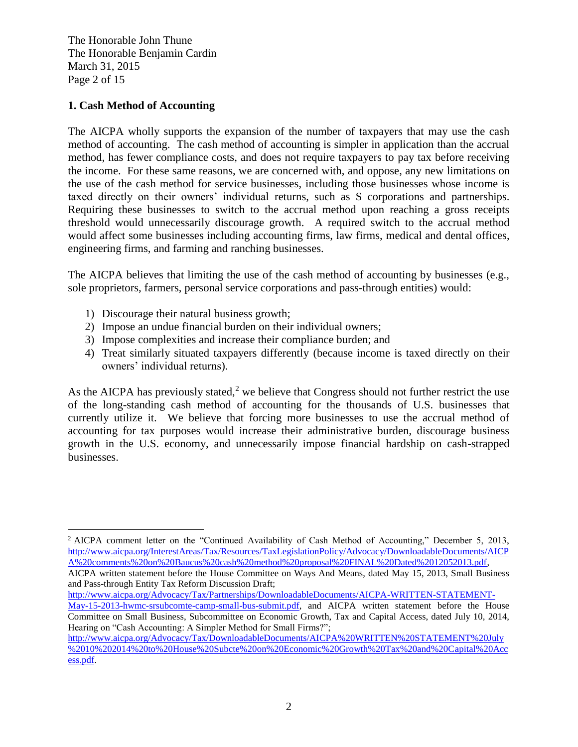The Honorable John Thune The Honorable Benjamin Cardin March 31, 2015 Page 2 of 15

## **1. Cash Method of Accounting**

The AICPA wholly supports the expansion of the number of taxpayers that may use the cash method of accounting. The cash method of accounting is simpler in application than the accrual method, has fewer compliance costs, and does not require taxpayers to pay tax before receiving the income. For these same reasons, we are concerned with, and oppose, any new limitations on the use of the cash method for service businesses, including those businesses whose income is taxed directly on their owners' individual returns, such as S corporations and partnerships. Requiring these businesses to switch to the accrual method upon reaching a gross receipts threshold would unnecessarily discourage growth. A required switch to the accrual method would affect some businesses including accounting firms, law firms, medical and dental offices, engineering firms, and farming and ranching businesses.

The AICPA believes that limiting the use of the cash method of accounting by businesses (e.g., sole proprietors, farmers, personal service corporations and pass-through entities) would:

- 1) Discourage their natural business growth;
- 2) Impose an undue financial burden on their individual owners;
- 3) Impose complexities and increase their compliance burden; and
- 4) Treat similarly situated taxpayers differently (because income is taxed directly on their owners' individual returns).

As the AICPA has previously stated,<sup>2</sup> we believe that Congress should not further restrict the use of the long-standing cash method of accounting for the thousands of U.S. businesses that currently utilize it. We believe that forcing more businesses to use the accrual method of accounting for tax purposes would increase their administrative burden, discourage business growth in the U.S. economy, and unnecessarily impose financial hardship on cash-strapped businesses.

 $\overline{a}$ <sup>2</sup> AICPA comment letter on the "Continued Availability of Cash Method of Accounting," December 5, 2013, [http://www.aicpa.org/InterestAreas/Tax/Resources/TaxLegislationPolicy/Advocacy/DownloadableDocuments/AICP](http://www.aicpa.org/InterestAreas/Tax/Resources/TaxLegislationPolicy/Advocacy/DownloadableDocuments/AICPA%20comments%20on%20Baucus%20cash%20method%20proposal%20FINAL%20Dated%2012052013.pdf) [A%20comments%20on%20Baucus%20cash%20method%20proposal%20FINAL%20Dated%2012052013.pdf,](http://www.aicpa.org/InterestAreas/Tax/Resources/TaxLegislationPolicy/Advocacy/DownloadableDocuments/AICPA%20comments%20on%20Baucus%20cash%20method%20proposal%20FINAL%20Dated%2012052013.pdf)

AICPA written statement before the House Committee on Ways And Means, dated May 15, 2013, Small Business and Pass-through Entity Tax Reform Discussion Draft;

[http://www.aicpa.org/Advocacy/Tax/Partnerships/DownloadableDocuments/AICPA-WRITTEN-STATEMENT-](http://www.aicpa.org/Advocacy/Tax/Partnerships/DownloadableDocuments/AICPA-WRITTEN-STATEMENT-May-15-2013-hwmc-srsubcomte-camp-small-bus-submit.pdf)[May-15-2013-hwmc-srsubcomte-camp-small-bus-submit.pdf,](http://www.aicpa.org/Advocacy/Tax/Partnerships/DownloadableDocuments/AICPA-WRITTEN-STATEMENT-May-15-2013-hwmc-srsubcomte-camp-small-bus-submit.pdf) and AICPA written statement before the House Committee on Small Business, Subcommittee on Economic Growth, Tax and Capital Access, dated July 10, 2014, Hearing on "Cash Accounting: A Simpler Method for Small Firms?";

[http://www.aicpa.org/Advocacy/Tax/DownloadableDocuments/AICPA%20WRITTEN%20STATEMENT%20July](http://www.aicpa.org/Advocacy/Tax/DownloadableDocuments/AICPA%20WRITTEN%20STATEMENT%20July%2010%202014%20to%20House%20Subcte%20on%20Economic%20Growth%20Tax%20and%20Capital%20Access.pdf) [%2010%202014%20to%20House%20Subcte%20on%20Economic%20Growth%20Tax%20and%20Capital%20Acc](http://www.aicpa.org/Advocacy/Tax/DownloadableDocuments/AICPA%20WRITTEN%20STATEMENT%20July%2010%202014%20to%20House%20Subcte%20on%20Economic%20Growth%20Tax%20and%20Capital%20Access.pdf) [ess.pdf.](http://www.aicpa.org/Advocacy/Tax/DownloadableDocuments/AICPA%20WRITTEN%20STATEMENT%20July%2010%202014%20to%20House%20Subcte%20on%20Economic%20Growth%20Tax%20and%20Capital%20Access.pdf)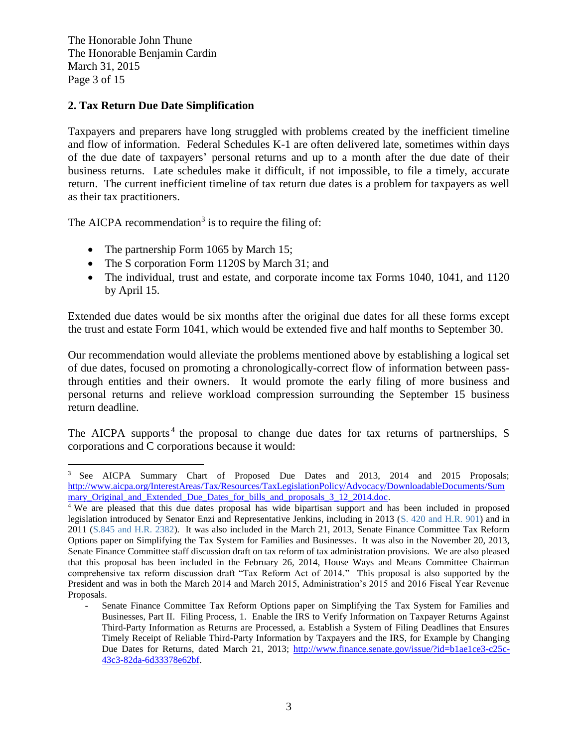The Honorable John Thune The Honorable Benjamin Cardin March 31, 2015 Page 3 of 15

 $\overline{a}$ 

### **2. Tax Return Due Date Simplification**

Taxpayers and preparers have long struggled with problems created by the inefficient timeline and flow of information. Federal Schedules K-1 are often delivered late, sometimes within days of the due date of taxpayers' personal returns and up to a month after the due date of their business returns. Late schedules make it difficult, if not impossible, to file a timely, accurate return. The current inefficient timeline of tax return due dates is a problem for taxpayers as well as their tax practitioners.

The AICPA recommendation<sup>3</sup> is to require the filing of:

- The partnership Form 1065 by March 15;
- The S corporation Form 1120S by March 31; and
- The individual, trust and estate, and corporate income tax Forms 1040, 1041, and 1120 by April 15.

Extended due dates would be six months after the original due dates for all these forms except the trust and estate Form 1041, which would be extended five and half months to September 30.

Our recommendation would alleviate the problems mentioned above by establishing a logical set of due dates, focused on promoting a chronologically-correct flow of information between passthrough entities and their owners. It would promote the early filing of more business and personal returns and relieve workload compression surrounding the September 15 business return deadline.

The AICPA supports<sup>4</sup> the proposal to change due dates for tax returns of partnerships, S corporations and C corporations because it would:

<sup>3</sup> See AICPA Summary Chart of Proposed Due Dates and 2013, 2014 and 2015 Proposals; [http://www.aicpa.org/InterestAreas/Tax/Resources/TaxLegislationPolicy/Advocacy/DownloadableDocuments/Sum](http://www.aicpa.org/InterestAreas/Tax/Resources/TaxLegislationPolicy/Advocacy/DownloadableDocuments/Summary_Original_and_Extended_Due_Dates_for_bills_and_proposals_3_12_2014.doc) mary Original and Extended Due Dates for bills and proposals 3 12 2014.doc.

<sup>4</sup> We are pleased that this due dates proposal has wide bipartisan support and has been included in proposed legislation introduced by Senator Enzi and Representative Jenkins, including in 2013 [\(S. 420](http://www.gpo.gov/fdsys/pkg/BILLS-113s420is/pdf/BILLS-113s420is.pdf) and H.R. 901) and in 2011 [\(S.845](http://thomas.loc.gov/cgi-bin/query/z?c112:S.845.IS:) and H.R. 2382). It was also included in the March 21, 2013, Senate Finance Committee Tax Reform Options paper on Simplifying the Tax System for Families and Businesses. It was also in the November 20, 2013, Senate Finance Committee staff discussion draft on tax reform of tax administration provisions. We are also pleased that this proposal has been included in the February 26, 2014, House Ways and Means Committee Chairman comprehensive tax reform discussion draft "Tax Reform Act of 2014." This proposal is also supported by the President and was in both the March 2014 and March 2015, Administration's 2015 and 2016 Fiscal Year Revenue Proposals.

Senate Finance Committee Tax Reform Options paper on Simplifying the Tax System for Families and Businesses, Part II. Filing Process, 1. Enable the IRS to Verify Information on Taxpayer Returns Against Third-Party Information as Returns are Processed, a. Establish a System of Filing Deadlines that Ensures Timely Receipt of Reliable Third-Party Information by Taxpayers and the IRS, for Example by Changing Due Dates for Returns, dated March 21, 2013; [http://www.finance.senate.gov/issue/?id=b1ae1ce3-c25c-](http://www.finance.senate.gov/issue/?id=b1ae1ce3-c25c-43c3-82da-6d33378e62bf)[43c3-82da-6d33378e62bf.](http://www.finance.senate.gov/issue/?id=b1ae1ce3-c25c-43c3-82da-6d33378e62bf)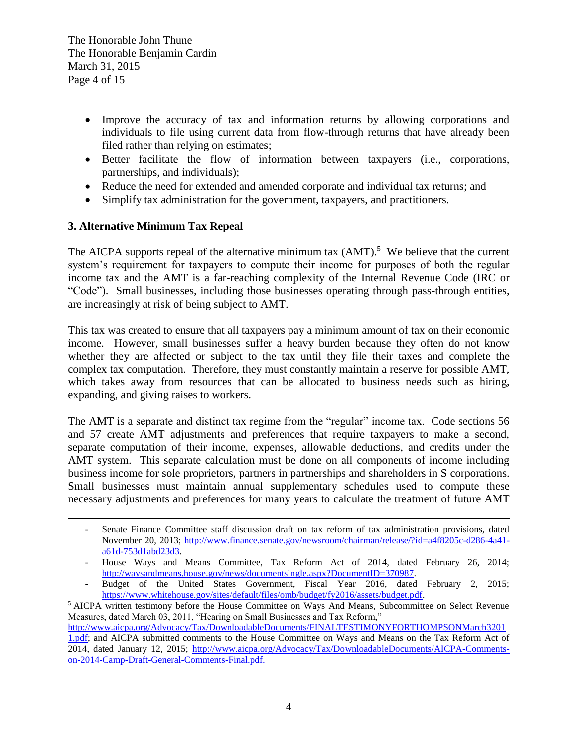- Improve the accuracy of tax and information returns by allowing corporations and individuals to file using current data from flow-through returns that have already been filed rather than relying on estimates;
- Better facilitate the flow of information between taxpayers (i.e., corporations, partnerships, and individuals);
- Reduce the need for extended and amended corporate and individual tax returns; and
- Simplify tax administration for the government, taxpayers, and practitioners.

# **3. Alternative Minimum Tax Repeal**

 $\overline{a}$ 

The AICPA supports repeal of the alternative minimum tax  $(AMT)$ .<sup>5</sup> We believe that the current system's requirement for taxpayers to compute their income for purposes of both the regular income tax and the AMT is a far-reaching complexity of the Internal Revenue Code (IRC or "Code"). Small businesses, including those businesses operating through pass-through entities, are increasingly at risk of being subject to AMT.

This tax was created to ensure that all taxpayers pay a minimum amount of tax on their economic income. However, small businesses suffer a heavy burden because they often do not know whether they are affected or subject to the tax until they file their taxes and complete the complex tax computation. Therefore, they must constantly maintain a reserve for possible AMT, which takes away from resources that can be allocated to business needs such as hiring, expanding, and giving raises to workers.

The AMT is a separate and distinct tax regime from the "regular" income tax. Code sections 56 and 57 create AMT adjustments and preferences that require taxpayers to make a second, separate computation of their income, expenses, allowable deductions, and credits under the AMT system. This separate calculation must be done on all components of income including business income for sole proprietors, partners in partnerships and shareholders in S corporations. Small businesses must maintain annual supplementary schedules used to compute these necessary adjustments and preferences for many years to calculate the treatment of future AMT

<sup>5</sup> AICPA written testimony before the House Committee on Ways And Means, Subcommittee on Select Revenue Measures, dated March 03, 2011, "Hearing on Small Businesses and Tax Reform,"

[http://www.aicpa.org/Advocacy/Tax/DownloadableDocuments/FINALTESTIMONYFORTHOMPSONMarch3201](http://www.aicpa.org/Advocacy/Tax/DownloadableDocuments/FINALTESTIMONYFORTHOMPSONMarch32011.pdf)

<sup>-</sup> Senate Finance Committee staff discussion draft on tax reform of tax administration provisions, dated November 20, 2013; [http://www.finance.senate.gov/newsroom/chairman/release/?id=a4f8205c-d286-4a41](http://www.finance.senate.gov/newsroom/chairman/release/?id=a4f8205c-d286-4a41-a61d-753d1abd23d3) [a61d-753d1abd23d3.](http://www.finance.senate.gov/newsroom/chairman/release/?id=a4f8205c-d286-4a41-a61d-753d1abd23d3)

<sup>-</sup> House Ways and Means Committee, Tax Reform Act of 2014, dated February 26, 2014; [http://waysandmeans.house.gov/news/documentsingle.aspx?DocumentID=370987.](http://waysandmeans.house.gov/news/documentsingle.aspx?DocumentID=370987)

<sup>-</sup> Budget of the United States Government, Fiscal Year 2016, dated February 2, 2015; [https://www.whitehouse.gov/sites/default/files/omb/budget/fy2016/assets/budget.pdf.](https://www.whitehouse.gov/sites/default/files/omb/budget/fy2016/assets/budget.pdf)

[<sup>1.</sup>pdf;](http://www.aicpa.org/Advocacy/Tax/DownloadableDocuments/FINALTESTIMONYFORTHOMPSONMarch32011.pdf) and AICPA submitted comments to the House Committee on Ways and Means on the Tax Reform Act of 2014, dated January 12, 2015; [http://www.aicpa.org/Advocacy/Tax/DownloadableDocuments/AICPA-Comments](http://www.aicpa.org/Advocacy/Tax/DownloadableDocuments/AICPA-Comments-on-2014-Camp-Draft-General-Comments-Final.pdf)[on-2014-Camp-Draft-General-Comments-Final.pdf.](http://www.aicpa.org/Advocacy/Tax/DownloadableDocuments/AICPA-Comments-on-2014-Camp-Draft-General-Comments-Final.pdf)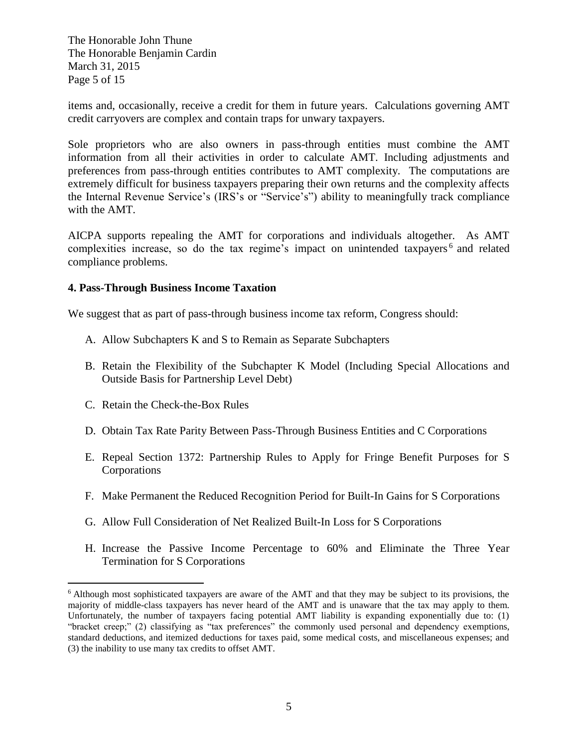The Honorable John Thune The Honorable Benjamin Cardin March 31, 2015 Page 5 of 15

items and, occasionally, receive a credit for them in future years. Calculations governing AMT credit carryovers are complex and contain traps for unwary taxpayers.

Sole proprietors who are also owners in pass-through entities must combine the AMT information from all their activities in order to calculate AMT. Including adjustments and preferences from pass-through entities contributes to AMT complexity. The computations are extremely difficult for business taxpayers preparing their own returns and the complexity affects the Internal Revenue Service's (IRS's or "Service's") ability to meaningfully track compliance with the AMT.

AICPA supports repealing the AMT for corporations and individuals altogether. As AMT complexities increase, so do the tax regime's impact on unintended taxpayers<sup>6</sup> and related compliance problems.

#### **4. Pass-Through Business Income Taxation**

We suggest that as part of pass-through business income tax reform, Congress should:

- A. Allow Subchapters K and S to Remain as Separate Subchapters
- B. Retain the Flexibility of the Subchapter K Model (Including Special Allocations and Outside Basis for Partnership Level Debt)
- C. Retain the Check-the-Box Rules

 $\overline{a}$ 

- D. Obtain Tax Rate Parity Between Pass-Through Business Entities and C Corporations
- E. Repeal Section 1372: Partnership Rules to Apply for Fringe Benefit Purposes for S Corporations
- F. Make Permanent the Reduced Recognition Period for Built-In Gains for S Corporations
- G. Allow Full Consideration of Net Realized Built-In Loss for S Corporations
- H. Increase the Passive Income Percentage to 60% and Eliminate the Three Year Termination for S Corporations

<sup>6</sup> Although most sophisticated taxpayers are aware of the AMT and that they may be subject to its provisions, the majority of middle-class taxpayers has never heard of the AMT and is unaware that the tax may apply to them. Unfortunately, the number of taxpayers facing potential AMT liability is expanding exponentially due to: (1) "bracket creep;" (2) classifying as "tax preferences" the commonly used personal and dependency exemptions, standard deductions, and itemized deductions for taxes paid, some medical costs, and miscellaneous expenses; and (3) the inability to use many tax credits to offset AMT.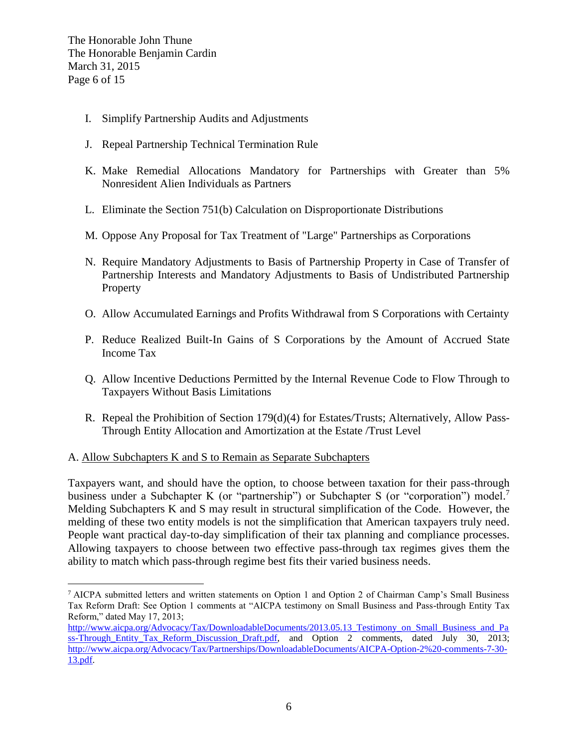- I. Simplify Partnership Audits and Adjustments
- J. Repeal Partnership Technical Termination Rule
- K. Make Remedial Allocations Mandatory for Partnerships with Greater than 5% Nonresident Alien Individuals as Partners
- L. Eliminate the Section 751(b) Calculation on Disproportionate Distributions
- M. Oppose Any Proposal for Tax Treatment of "Large" Partnerships as Corporations
- N. Require Mandatory Adjustments to Basis of Partnership Property in Case of Transfer of Partnership Interests and Mandatory Adjustments to Basis of Undistributed Partnership **Property**
- O. Allow Accumulated Earnings and Profits Withdrawal from S Corporations with Certainty
- P. Reduce Realized Built-In Gains of S Corporations by the Amount of Accrued State Income Tax
- Q. Allow Incentive Deductions Permitted by the Internal Revenue Code to Flow Through to Taxpayers Without Basis Limitations
- R. Repeal the Prohibition of Section 179(d)(4) for Estates/Trusts; Alternatively, Allow Pass-Through Entity Allocation and Amortization at the Estate /Trust Level

#### A. Allow Subchapters K and S to Remain as Separate Subchapters

Taxpayers want, and should have the option, to choose between taxation for their pass-through business under a Subchapter K (or "partnership") or Subchapter S (or "corporation") model.<sup>7</sup> Melding Subchapters K and S may result in structural simplification of the Code. However, the melding of these two entity models is not the simplification that American taxpayers truly need. People want practical day-to-day simplification of their tax planning and compliance processes. Allowing taxpayers to choose between two effective pass-through tax regimes gives them the ability to match which pass-through regime best fits their varied business needs.

 $\overline{a}$ <sup>7</sup> AICPA submitted letters and written statements on Option 1 and Option 2 of Chairman Camp's Small Business Tax Reform Draft: See Option 1 comments at "AICPA testimony on Small Business and Pass-through Entity Tax Reform," dated May 17, 2013;

http://www.aicpa.org/Advocacy/Tax/DownloadableDocuments/2013.05.13 Testimony on Small Business and Pa [ss-Through\\_Entity\\_Tax\\_Reform\\_Discussion\\_Draft.pdf,](http://www.aicpa.org/Advocacy/Tax/DownloadableDocuments/2013.05.13_Testimony_on_Small_Business_and_Pass-Through_Entity_Tax_Reform_Discussion_Draft.pdf) and Option 2 comments, dated July 30, 2013; [http://www.aicpa.org/Advocacy/Tax/Partnerships/DownloadableDocuments/AICPA-Option-2%20-comments-7-30-](http://www.aicpa.org/Advocacy/Tax/Partnerships/DownloadableDocuments/AICPA-Option-2%20-comments-7-30-13.pdf) [13.pdf.](http://www.aicpa.org/Advocacy/Tax/Partnerships/DownloadableDocuments/AICPA-Option-2%20-comments-7-30-13.pdf)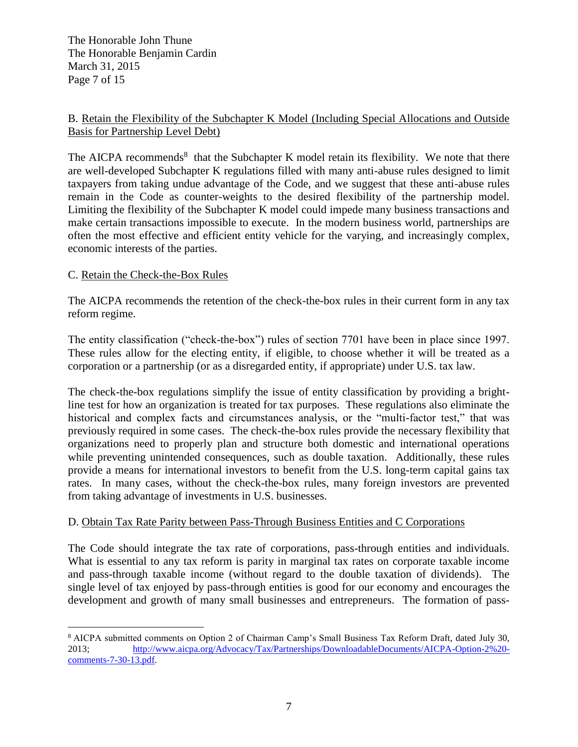The Honorable John Thune The Honorable Benjamin Cardin March 31, 2015 Page 7 of 15

## B. Retain the Flexibility of the Subchapter K Model (Including Special Allocations and Outside Basis for Partnership Level Debt)

The AICPA recommends<sup>8</sup> that the Subchapter K model retain its flexibility. We note that there are well-developed Subchapter K regulations filled with many anti-abuse rules designed to limit taxpayers from taking undue advantage of the Code, and we suggest that these anti-abuse rules remain in the Code as counter-weights to the desired flexibility of the partnership model. Limiting the flexibility of the Subchapter K model could impede many business transactions and make certain transactions impossible to execute. In the modern business world, partnerships are often the most effective and efficient entity vehicle for the varying, and increasingly complex, economic interests of the parties.

## C. Retain the Check-the-Box Rules

The AICPA recommends the retention of the check-the-box rules in their current form in any tax reform regime.

The entity classification ("check-the-box") rules of section 7701 have been in place since 1997. These rules allow for the electing entity, if eligible, to choose whether it will be treated as a corporation or a partnership (or as a disregarded entity, if appropriate) under U.S. tax law.

The check-the-box regulations simplify the issue of entity classification by providing a brightline test for how an organization is treated for tax purposes. These regulations also eliminate the historical and complex facts and circumstances analysis, or the "multi-factor test," that was previously required in some cases. The check-the-box rules provide the necessary flexibility that organizations need to properly plan and structure both domestic and international operations while preventing unintended consequences, such as double taxation. Additionally, these rules provide a means for international investors to benefit from the U.S. long-term capital gains tax rates. In many cases, without the check-the-box rules, many foreign investors are prevented from taking advantage of investments in U.S. businesses.

#### D. Obtain Tax Rate Parity between Pass-Through Business Entities and C Corporations

The Code should integrate the tax rate of corporations, pass-through entities and individuals. What is essential to any tax reform is parity in marginal tax rates on corporate taxable income and pass-through taxable income (without regard to the double taxation of dividends). The single level of tax enjoyed by pass-through entities is good for our economy and encourages the development and growth of many small businesses and entrepreneurs. The formation of pass-

 $\overline{a}$ <sup>8</sup> AICPA submitted comments on Option 2 of Chairman Camp's Small Business Tax Reform Draft, dated July 30, 2013; [http://www.aicpa.org/Advocacy/Tax/Partnerships/DownloadableDocuments/AICPA-Option-2%20](http://www.aicpa.org/Advocacy/Tax/Partnerships/DownloadableDocuments/AICPA-Option-2%20-comments-7-30-13.pdf) [comments-7-30-13.pdf.](http://www.aicpa.org/Advocacy/Tax/Partnerships/DownloadableDocuments/AICPA-Option-2%20-comments-7-30-13.pdf)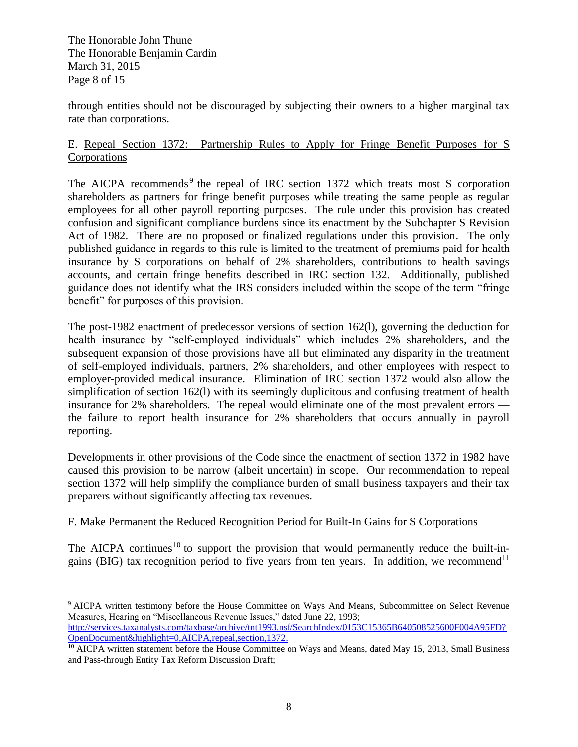The Honorable John Thune The Honorable Benjamin Cardin March 31, 2015 Page 8 of 15

 $\overline{a}$ 

through entities should not be discouraged by subjecting their owners to a higher marginal tax rate than corporations.

### E. Repeal Section 1372: Partnership Rules to Apply for Fringe Benefit Purposes for S Corporations

The AICPA recommends<sup>9</sup> the repeal of IRC section 1372 which treats most S corporation shareholders as partners for fringe benefit purposes while treating the same people as regular employees for all other payroll reporting purposes. The rule under this provision has created confusion and significant compliance burdens since its enactment by the Subchapter S Revision Act of 1982. There are no proposed or finalized regulations under this provision. The only published guidance in regards to this rule is limited to the treatment of premiums paid for health insurance by S corporations on behalf of 2% shareholders, contributions to health savings accounts, and certain fringe benefits described in IRC section 132. Additionally, published guidance does not identify what the IRS considers included within the scope of the term "fringe benefit" for purposes of this provision.

The post-1982 enactment of predecessor versions of section 162(l), governing the deduction for health insurance by "self-employed individuals" which includes 2% shareholders, and the subsequent expansion of those provisions have all but eliminated any disparity in the treatment of self-employed individuals, partners, 2% shareholders, and other employees with respect to employer-provided medical insurance. Elimination of IRC section 1372 would also allow the simplification of section 162(l) with its seemingly duplicitous and confusing treatment of health insurance for 2% shareholders. The repeal would eliminate one of the most prevalent errors the failure to report health insurance for 2% shareholders that occurs annually in payroll reporting.

Developments in other provisions of the Code since the enactment of section 1372 in 1982 have caused this provision to be narrow (albeit uncertain) in scope. Our recommendation to repeal section 1372 will help simplify the compliance burden of small business taxpayers and their tax preparers without significantly affecting tax revenues.

## F. Make Permanent the Reduced Recognition Period for Built-In Gains for S Corporations

The AICPA continues<sup>10</sup> to support the provision that would permanently reduce the built-ingains (BIG) tax recognition period to five years from ten years. In addition, we recommend<sup>11</sup>

<sup>9</sup> AICPA written testimony before the House Committee on Ways And Means, Subcommittee on Select Revenue Measures, Hearing on "Miscellaneous Revenue Issues," dated June 22, 1993; [http://services.taxanalysts.com/taxbase/archive/tnt1993.nsf/SearchIndex/0153C15365B640508525600F004A95FD?](http://services.taxanalysts.com/taxbase/archive/tnt1993.nsf/SearchIndex/0153C15365B640508525600F004A95FD?OpenDocument&highlight=0,AICPA,repeal,section,1372) [OpenDocument&highlight=0,AICPA,repeal,section,1372.](http://services.taxanalysts.com/taxbase/archive/tnt1993.nsf/SearchIndex/0153C15365B640508525600F004A95FD?OpenDocument&highlight=0,AICPA,repeal,section,1372)

<sup>&</sup>lt;sup>10</sup> AICPA written statement before the House Committee on Ways and Means, dated May 15, 2013, Small Business and Pass-through Entity Tax Reform Discussion Draft;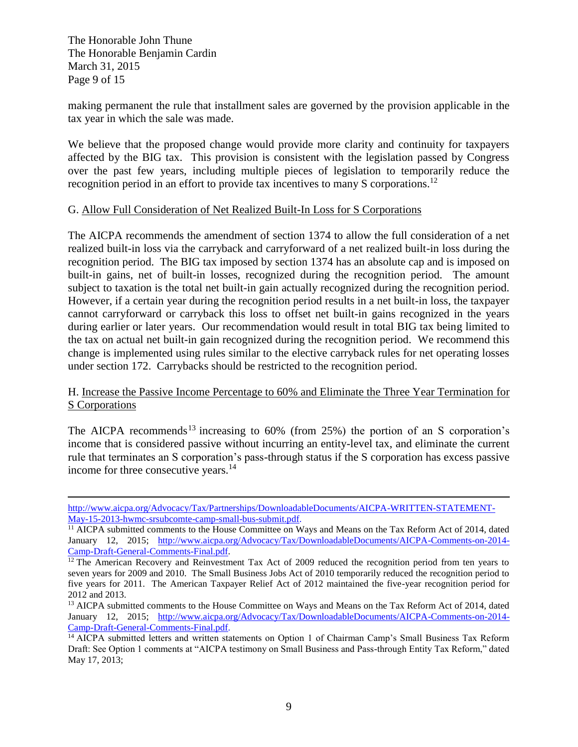The Honorable John Thune The Honorable Benjamin Cardin March 31, 2015 Page 9 of 15

 $\overline{a}$ 

making permanent the rule that installment sales are governed by the provision applicable in the tax year in which the sale was made.

We believe that the proposed change would provide more clarity and continuity for taxpayers affected by the BIG tax. This provision is consistent with the legislation passed by Congress over the past few years, including multiple pieces of legislation to temporarily reduce the recognition period in an effort to provide tax incentives to many S corporations.<sup>12</sup>

#### G. Allow Full Consideration of Net Realized Built-In Loss for S Corporations

The AICPA recommends the amendment of section 1374 to allow the full consideration of a net realized built-in loss via the carryback and carryforward of a net realized built-in loss during the recognition period. The BIG tax imposed by section 1374 has an absolute cap and is imposed on built-in gains, net of built-in losses, recognized during the recognition period. The amount subject to taxation is the total net built-in gain actually recognized during the recognition period. However, if a certain year during the recognition period results in a net built-in loss, the taxpayer cannot carryforward or carryback this loss to offset net built-in gains recognized in the years during earlier or later years. Our recommendation would result in total BIG tax being limited to the tax on actual net built-in gain recognized during the recognition period. We recommend this change is implemented using rules similar to the elective carryback rules for net operating losses under section 172. Carrybacks should be restricted to the recognition period.

### H. Increase the Passive Income Percentage to 60% and Eliminate the Three Year Termination for S Corporations

The AICPA recommends<sup>13</sup> increasing to  $60\%$  (from 25%) the portion of an S corporation's income that is considered passive without incurring an entity-level tax, and eliminate the current rule that terminates an S corporation's pass-through status if the S corporation has excess passive income for three consecutive years.<sup>14</sup>

[http://www.aicpa.org/Advocacy/Tax/Partnerships/DownloadableDocuments/AICPA-WRITTEN-STATEMENT-](http://www.aicpa.org/Advocacy/Tax/Partnerships/DownloadableDocuments/AICPA-WRITTEN-STATEMENT-May-15-2013-hwmc-srsubcomte-camp-small-bus-submit.pdf)[May-15-2013-hwmc-srsubcomte-camp-small-bus-submit.pdf.](http://www.aicpa.org/Advocacy/Tax/Partnerships/DownloadableDocuments/AICPA-WRITTEN-STATEMENT-May-15-2013-hwmc-srsubcomte-camp-small-bus-submit.pdf)

<sup>&</sup>lt;sup>11</sup> AICPA submitted comments to the House Committee on Ways and Means on the Tax Reform Act of 2014, dated January 12, 2015; [http://www.aicpa.org/Advocacy/Tax/DownloadableDocuments/AICPA-Comments-on-2014-](http://www.aicpa.org/Advocacy/Tax/DownloadableDocuments/AICPA-Comments-on-2014-Camp-Draft-General-Comments-Final.pdf) [Camp-Draft-General-Comments-Final.pdf.](http://www.aicpa.org/Advocacy/Tax/DownloadableDocuments/AICPA-Comments-on-2014-Camp-Draft-General-Comments-Final.pdf)

<sup>&</sup>lt;sup>12</sup> The American Recovery and Reinvestment Tax Act of 2009 reduced the recognition period from ten years to seven years for 2009 and 2010. The Small Business Jobs Act of 2010 temporarily reduced the recognition period to five years for 2011. The American Taxpayer Relief Act of 2012 maintained the five-year recognition period for 2012 and 2013.

<sup>&</sup>lt;sup>13</sup> AICPA submitted comments to the House Committee on Ways and Means on the Tax Reform Act of 2014, dated January 12, 2015; [http://www.aicpa.org/Advocacy/Tax/DownloadableDocuments/AICPA-Comments-on-2014-](http://www.aicpa.org/Advocacy/Tax/DownloadableDocuments/AICPA-Comments-on-2014-Camp-Draft-General-Comments-Final.pdf) [Camp-Draft-General-Comments-Final.pdf.](http://www.aicpa.org/Advocacy/Tax/DownloadableDocuments/AICPA-Comments-on-2014-Camp-Draft-General-Comments-Final.pdf)

<sup>&</sup>lt;sup>14</sup> AICPA submitted letters and written statements on Option 1 of Chairman Camp's Small Business Tax Reform Draft: See Option 1 comments at "AICPA testimony on Small Business and Pass-through Entity Tax Reform," dated May 17, 2013;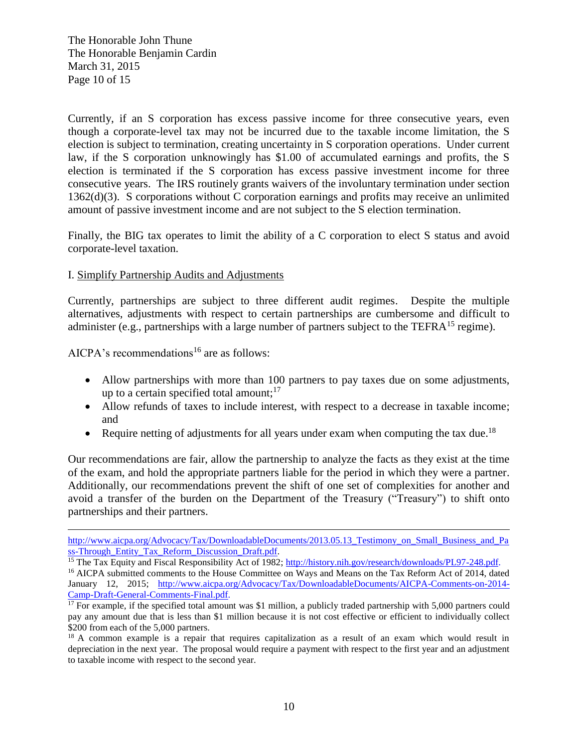The Honorable John Thune The Honorable Benjamin Cardin March 31, 2015 Page 10 of 15

Currently, if an S corporation has excess passive income for three consecutive years, even though a corporate-level tax may not be incurred due to the taxable income limitation, the S election is subject to termination, creating uncertainty in S corporation operations. Under current law, if the S corporation unknowingly has \$1.00 of accumulated earnings and profits, the S election is terminated if the S corporation has excess passive investment income for three consecutive years. The IRS routinely grants waivers of the involuntary termination under section 1362(d)(3). S corporations without C corporation earnings and profits may receive an unlimited amount of passive investment income and are not subject to the S election termination.

Finally, the BIG tax operates to limit the ability of a C corporation to elect S status and avoid corporate-level taxation.

#### I. Simplify Partnership Audits and Adjustments

Currently, partnerships are subject to three different audit regimes. Despite the multiple alternatives, adjustments with respect to certain partnerships are cumbersome and difficult to administer (e.g., partnerships with a large number of partners subject to the TEFR $A^{15}$  regime).

AICPA's recommendations<sup>16</sup> are as follows:

 $\overline{a}$ 

- Allow partnerships with more than 100 partners to pay taxes due on some adjustments, up to a certain specified total amount;<sup>17</sup>
- Allow refunds of taxes to include interest, with respect to a decrease in taxable income; and
- Require netting of adjustments for all years under exam when computing the tax due.<sup>18</sup>

Our recommendations are fair, allow the partnership to analyze the facts as they exist at the time of the exam, and hold the appropriate partners liable for the period in which they were a partner. Additionally, our recommendations prevent the shift of one set of complexities for another and avoid a transfer of the burden on the Department of the Treasury ("Treasury") to shift onto partnerships and their partners.

[http://www.aicpa.org/Advocacy/Tax/DownloadableDocuments/2013.05.13\\_Testimony\\_on\\_Small\\_Business\\_and\\_Pa](http://www.aicpa.org/Advocacy/Tax/DownloadableDocuments/2013.05.13_Testimony_on_Small_Business_and_Pass-Through_Entity_Tax_Reform_Discussion_Draft.pdf) [ss-Through\\_Entity\\_Tax\\_Reform\\_Discussion\\_Draft.pdf.](http://www.aicpa.org/Advocacy/Tax/DownloadableDocuments/2013.05.13_Testimony_on_Small_Business_and_Pass-Through_Entity_Tax_Reform_Discussion_Draft.pdf)

<sup>&</sup>lt;sup>15</sup> The Tax Equity and Fiscal Responsibility Act of 1982; [http://history.nih.gov/research/downloads/PL97-248.pdf.](http://history.nih.gov/research/downloads/PL97-248.pdf)

<sup>&</sup>lt;sup>16</sup> AICPA submitted comments to the House Committee on Ways and Means on the Tax Reform Act of 2014, dated January 12, 2015; [http://www.aicpa.org/Advocacy/Tax/DownloadableDocuments/AICPA-Comments-on-2014-](http://www.aicpa.org/Advocacy/Tax/DownloadableDocuments/AICPA-Comments-on-2014-Camp-Draft-General-Comments-Final.pdf) [Camp-Draft-General-Comments-Final.pdf.](http://www.aicpa.org/Advocacy/Tax/DownloadableDocuments/AICPA-Comments-on-2014-Camp-Draft-General-Comments-Final.pdf)

 $17$  For example, if the specified total amount was \$1 million, a publicly traded partnership with 5,000 partners could pay any amount due that is less than \$1 million because it is not cost effective or efficient to individually collect \$200 from each of the 5,000 partners.

<sup>&</sup>lt;sup>18</sup> A common example is a repair that requires capitalization as a result of an exam which would result in depreciation in the next year. The proposal would require a payment with respect to the first year and an adjustment to taxable income with respect to the second year.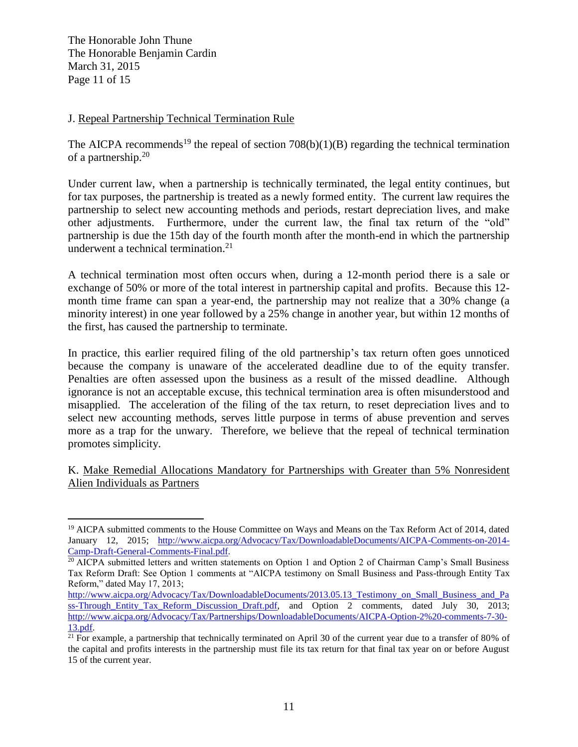The Honorable John Thune The Honorable Benjamin Cardin March 31, 2015 Page 11 of 15

 $\overline{a}$ 

### J. Repeal Partnership Technical Termination Rule

The AICPA recommends<sup>19</sup> the repeal of section  $708(b)(1)(B)$  regarding the technical termination of a partnership.<sup>20</sup>

Under current law, when a partnership is technically terminated, the legal entity continues, but for tax purposes, the partnership is treated as a newly formed entity. The current law requires the partnership to select new accounting methods and periods, restart depreciation lives, and make other adjustments. Furthermore, under the current law, the final tax return of the "old" partnership is due the 15th day of the fourth month after the month-end in which the partnership underwent a technical termination. $21$ 

A technical termination most often occurs when, during a 12-month period there is a sale or exchange of 50% or more of the total interest in partnership capital and profits. Because this 12 month time frame can span a year-end, the partnership may not realize that a 30% change (a minority interest) in one year followed by a 25% change in another year, but within 12 months of the first, has caused the partnership to terminate.

In practice, this earlier required filing of the old partnership's tax return often goes unnoticed because the company is unaware of the accelerated deadline due to of the equity transfer. Penalties are often assessed upon the business as a result of the missed deadline. Although ignorance is not an acceptable excuse, this technical termination area is often misunderstood and misapplied. The acceleration of the filing of the tax return, to reset depreciation lives and to select new accounting methods, serves little purpose in terms of abuse prevention and serves more as a trap for the unwary. Therefore, we believe that the repeal of technical termination promotes simplicity.

K. Make Remedial Allocations Mandatory for Partnerships with Greater than 5% Nonresident Alien Individuals as Partners

<sup>&</sup>lt;sup>19</sup> AICPA submitted comments to the House Committee on Ways and Means on the Tax Reform Act of 2014, dated January 12, 2015; [http://www.aicpa.org/Advocacy/Tax/DownloadableDocuments/AICPA-Comments-on-2014-](http://www.aicpa.org/Advocacy/Tax/DownloadableDocuments/AICPA-Comments-on-2014-Camp-Draft-General-Comments-Final.pdf) [Camp-Draft-General-Comments-Final.pdf.](http://www.aicpa.org/Advocacy/Tax/DownloadableDocuments/AICPA-Comments-on-2014-Camp-Draft-General-Comments-Final.pdf)

<sup>&</sup>lt;sup>20</sup> AICPA submitted letters and written statements on Option 1 and Option 2 of Chairman Camp's Small Business Tax Reform Draft: See Option 1 comments at "AICPA testimony on Small Business and Pass-through Entity Tax Reform," dated May 17, 2013;

http://www.aicpa.org/Advocacy/Tax/DownloadableDocuments/2013.05.13 Testimony on Small Business and Pa [ss-Through\\_Entity\\_Tax\\_Reform\\_Discussion\\_Draft.pdf,](http://www.aicpa.org/Advocacy/Tax/DownloadableDocuments/2013.05.13_Testimony_on_Small_Business_and_Pass-Through_Entity_Tax_Reform_Discussion_Draft.pdf) and Option 2 comments, dated July 30, 2013; [http://www.aicpa.org/Advocacy/Tax/Partnerships/DownloadableDocuments/AICPA-Option-2%20-comments-7-30-](http://www.aicpa.org/Advocacy/Tax/Partnerships/DownloadableDocuments/AICPA-Option-2%20-comments-7-30-13.pdf) [13.pdf.](http://www.aicpa.org/Advocacy/Tax/Partnerships/DownloadableDocuments/AICPA-Option-2%20-comments-7-30-13.pdf)

 $21$  For example, a partnership that technically terminated on April 30 of the current year due to a transfer of 80% of the capital and profits interests in the partnership must file its tax return for that final tax year on or before August 15 of the current year.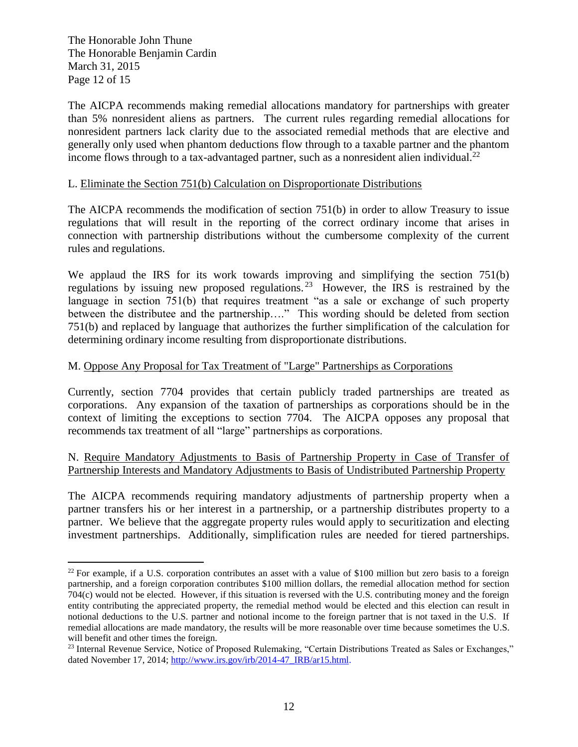The Honorable John Thune The Honorable Benjamin Cardin March 31, 2015 Page 12 of 15

 $\overline{a}$ 

The AICPA recommends making remedial allocations mandatory for partnerships with greater than 5% nonresident aliens as partners. The current rules regarding remedial allocations for nonresident partners lack clarity due to the associated remedial methods that are elective and generally only used when phantom deductions flow through to a taxable partner and the phantom income flows through to a tax-advantaged partner, such as a nonresident alien individual.<sup>22</sup>

#### L. Eliminate the Section 751(b) Calculation on Disproportionate Distributions

The AICPA recommends the modification of section 751(b) in order to allow Treasury to issue regulations that will result in the reporting of the correct ordinary income that arises in connection with partnership distributions without the cumbersome complexity of the current rules and regulations.

We applaud the IRS for its work towards improving and simplifying the section 751(b) regulations by issuing new proposed regulations.<sup>23</sup> However, the IRS is restrained by the language in section 751(b) that requires treatment "as a sale or exchange of such property between the distributee and the partnership…." This wording should be deleted from section 751(b) and replaced by language that authorizes the further simplification of the calculation for determining ordinary income resulting from disproportionate distributions.

### M. Oppose Any Proposal for Tax Treatment of "Large" Partnerships as Corporations

Currently, section 7704 provides that certain publicly traded partnerships are treated as corporations. Any expansion of the taxation of partnerships as corporations should be in the context of limiting the exceptions to section 7704. The AICPA opposes any proposal that recommends tax treatment of all "large" partnerships as corporations.

#### N. Require Mandatory Adjustments to Basis of Partnership Property in Case of Transfer of Partnership Interests and Mandatory Adjustments to Basis of Undistributed Partnership Property

The AICPA recommends requiring mandatory adjustments of partnership property when a partner transfers his or her interest in a partnership, or a partnership distributes property to a partner. We believe that the aggregate property rules would apply to securitization and electing investment partnerships. Additionally, simplification rules are needed for tiered partnerships.

<sup>&</sup>lt;sup>22</sup> For example, if a U.S. corporation contributes an asset with a value of \$100 million but zero basis to a foreign partnership, and a foreign corporation contributes \$100 million dollars, the remedial allocation method for section 704(c) would not be elected. However, if this situation is reversed with the U.S. contributing money and the foreign entity contributing the appreciated property, the remedial method would be elected and this election can result in notional deductions to the U.S. partner and notional income to the foreign partner that is not taxed in the U.S. If remedial allocations are made mandatory, the results will be more reasonable over time because sometimes the U.S. will benefit and other times the foreign.

<sup>&</sup>lt;sup>23</sup> Internal Revenue Service, Notice of Proposed Rulemaking, "Certain Distributions Treated as Sales or Exchanges," dated November 17, 2014; [http://www.irs.gov/irb/2014-47\\_IRB/ar15.html.](http://www.irs.gov/irb/2014-47_IRB/ar15.html)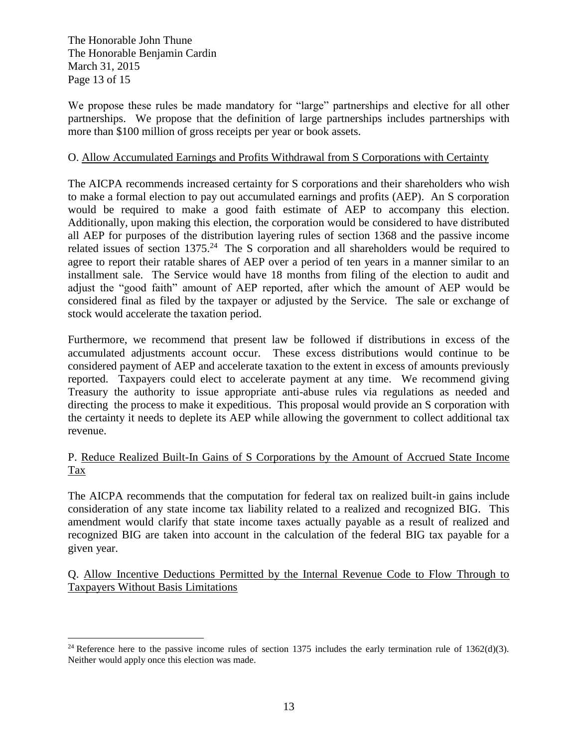The Honorable John Thune The Honorable Benjamin Cardin March 31, 2015 Page 13 of 15

We propose these rules be made mandatory for "large" partnerships and elective for all other partnerships. We propose that the definition of large partnerships includes partnerships with more than \$100 million of gross receipts per year or book assets.

#### O. Allow Accumulated Earnings and Profits Withdrawal from S Corporations with Certainty

The AICPA recommends increased certainty for S corporations and their shareholders who wish to make a formal election to pay out accumulated earnings and profits (AEP). An S corporation would be required to make a good faith estimate of AEP to accompany this election. Additionally, upon making this election, the corporation would be considered to have distributed all AEP for purposes of the distribution layering rules of section 1368 and the passive income related issues of section  $1375<sup>24</sup>$  The S corporation and all shareholders would be required to agree to report their ratable shares of AEP over a period of ten years in a manner similar to an installment sale. The Service would have 18 months from filing of the election to audit and adjust the "good faith" amount of AEP reported, after which the amount of AEP would be considered final as filed by the taxpayer or adjusted by the Service. The sale or exchange of stock would accelerate the taxation period.

Furthermore, we recommend that present law be followed if distributions in excess of the accumulated adjustments account occur. These excess distributions would continue to be considered payment of AEP and accelerate taxation to the extent in excess of amounts previously reported. Taxpayers could elect to accelerate payment at any time. We recommend giving Treasury the authority to issue appropriate anti-abuse rules via regulations as needed and directing the process to make it expeditious. This proposal would provide an S corporation with the certainty it needs to deplete its AEP while allowing the government to collect additional tax revenue.

## P. Reduce Realized Built-In Gains of S Corporations by the Amount of Accrued State Income Tax

The AICPA recommends that the computation for federal tax on realized built-in gains include consideration of any state income tax liability related to a realized and recognized BIG. This amendment would clarify that state income taxes actually payable as a result of realized and recognized BIG are taken into account in the calculation of the federal BIG tax payable for a given year.

Q. Allow Incentive Deductions Permitted by the Internal Revenue Code to Flow Through to Taxpayers Without Basis Limitations

 $\overline{a}$ <sup>24</sup> Reference here to the passive income rules of section 1375 includes the early termination rule of 1362(d)(3). Neither would apply once this election was made.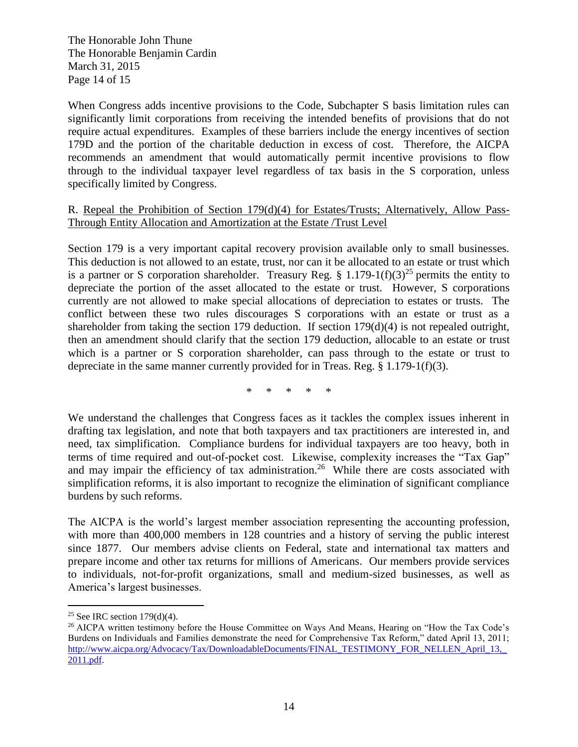The Honorable John Thune The Honorable Benjamin Cardin March 31, 2015 Page 14 of 15

When Congress adds incentive provisions to the Code, Subchapter S basis limitation rules can significantly limit corporations from receiving the intended benefits of provisions that do not require actual expenditures. Examples of these barriers include the energy incentives of section 179D and the portion of the charitable deduction in excess of cost. Therefore, the AICPA recommends an amendment that would automatically permit incentive provisions to flow through to the individual taxpayer level regardless of tax basis in the S corporation, unless specifically limited by Congress.

#### R. Repeal the Prohibition of Section 179(d)(4) for Estates/Trusts; Alternatively, Allow Pass-Through Entity Allocation and Amortization at the Estate /Trust Level

Section 179 is a very important capital recovery provision available only to small businesses. This deduction is not allowed to an estate, trust, nor can it be allocated to an estate or trust which is a partner or S corporation shareholder. Treasury Reg. § 1.179-1(f)(3)<sup>25</sup> permits the entity to depreciate the portion of the asset allocated to the estate or trust. However, S corporations currently are not allowed to make special allocations of depreciation to estates or trusts. The conflict between these two rules discourages S corporations with an estate or trust as a shareholder from taking the section 179 deduction. If section 179(d)(4) is not repealed outright, then an amendment should clarify that the section 179 deduction, allocable to an estate or trust which is a partner or S corporation shareholder, can pass through to the estate or trust to depreciate in the same manner currently provided for in Treas. Reg. § 1.179-1(f)(3).

\* \* \* \* \*

We understand the challenges that Congress faces as it tackles the complex issues inherent in drafting tax legislation, and note that both taxpayers and tax practitioners are interested in, and need, tax simplification. Compliance burdens for individual taxpayers are too heavy, both in terms of time required and out-of-pocket cost. Likewise, complexity increases the "Tax Gap" and may impair the efficiency of tax administration.<sup>26</sup> While there are costs associated with simplification reforms, it is also important to recognize the elimination of significant compliance burdens by such reforms.

The AICPA is the world's largest member association representing the accounting profession, with more than 400,000 members in 128 countries and a history of serving the public interest since 1877. Our members advise clients on Federal, state and international tax matters and prepare income and other tax returns for millions of Americans. Our members provide services to individuals, not-for-profit organizations, small and medium-sized businesses, as well as America's largest businesses.

 $\overline{a}$ 

<sup>&</sup>lt;sup>25</sup> See IRC section  $179(d)(4)$ .

<sup>&</sup>lt;sup>26</sup> AICPA written testimony before the House Committee on Ways And Means, Hearing on "How the Tax Code's Burdens on Individuals and Families demonstrate the need for Comprehensive Tax Reform," dated April 13, 2011; http://www.aicpa.org/Advocacy/Tax/DownloadableDocuments/FINAL\_TESTIMONY\_FOR\_NELLEN\_April\_13, [2011.pdf.](http://www.aicpa.org/Advocacy/Tax/DownloadableDocuments/FINAL_TESTIMONY_FOR_NELLEN_April_13,_2011.pdf)